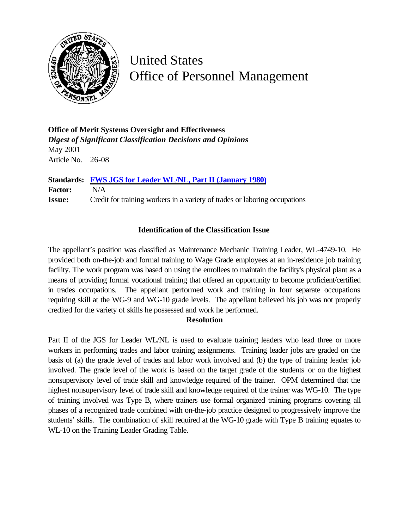

United States Office of Personnel Management

**Office of Merit Systems Oversight and Effectiveness** *Digest of Significant Classification Decisions and Opinions* May 2001 Article No. 26-08

**Standards: [FWS JGS for Leader WL/NL, Part II \(January 1980\)](http://www.opm.gov/fedclass/fwsleadr.pdf) Factor:** N/A **Issue:** Credit for training workers in a variety of trades or laboring occupations

## **Identification of the Classification Issue**

The appellant's position was classified as Maintenance Mechanic Training Leader, WL-4749-10. He provided both on-the-job and formal training to Wage Grade employees at an in-residence job training facility. The work program was based on using the enrollees to maintain the facility's physical plant as a means of providing formal vocational training that offered an opportunity to become proficient/certified in trades occupations. The appellant performed work and training in four separate occupations requiring skill at the WG-9 and WG-10 grade levels. The appellant believed his job was not properly credited for the variety of skills he possessed and work he performed.

## **Resolution**

Part II of the JGS for Leader WL/NL is used to evaluate training leaders who lead three or more workers in performing trades and labor training assignments. Training leader jobs are graded on the basis of (a) the grade level of trades and labor work involved and (b) the type of training leader job involved. The grade level of the work is based on the target grade of the students or on the highest nonsupervisory level of trade skill and knowledge required of the trainer. OPM determined that the highest nonsupervisory level of trade skill and knowledge required of the trainer was WG-10. The type of training involved was Type B, where trainers use formal organized training programs covering all phases of a recognized trade combined with on-the-job practice designed to progressively improve the students' skills. The combination of skill required at the WG-10 grade with Type B training equates to WL-10 on the Training Leader Grading Table.